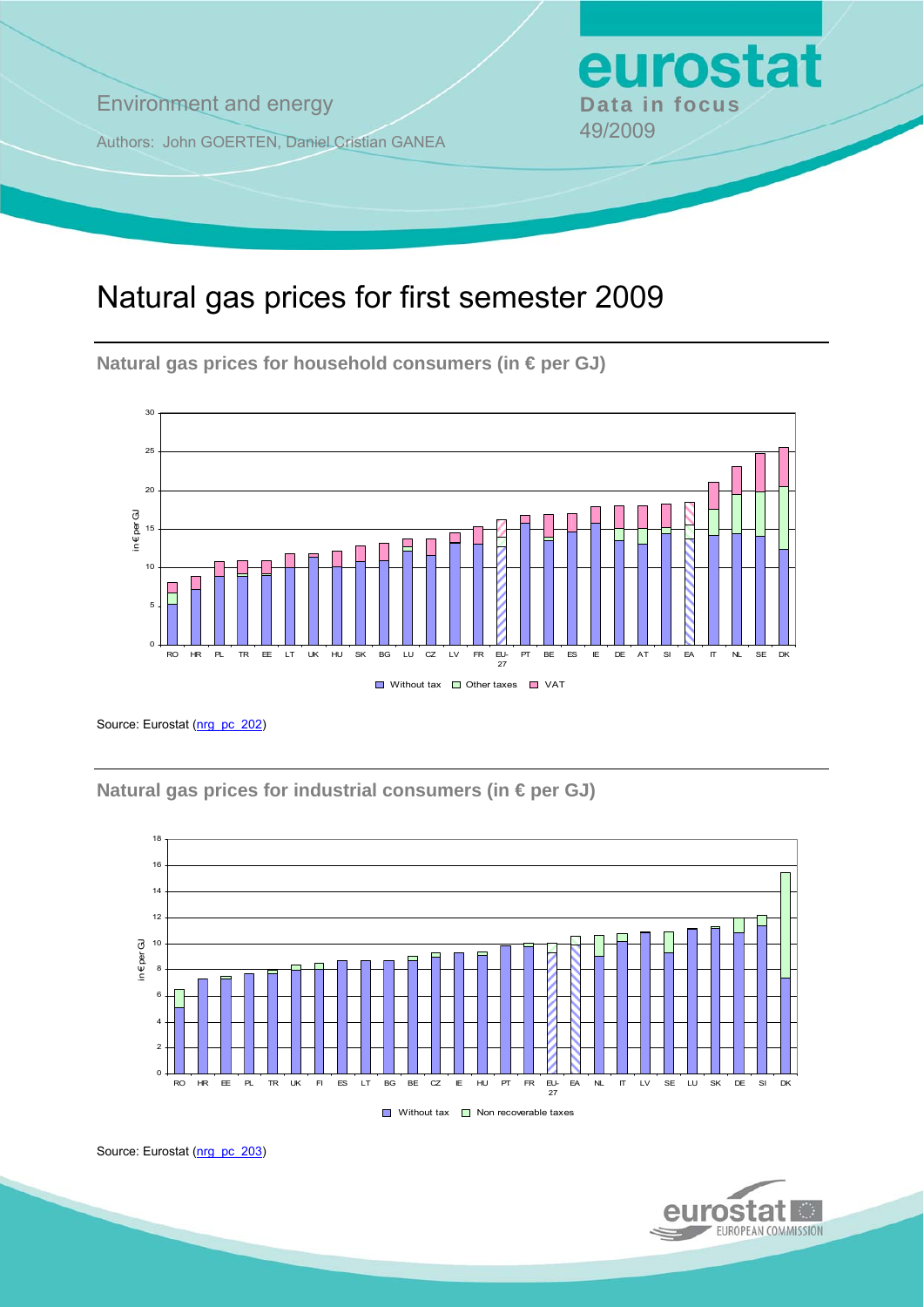**Environment and energy Bata in focus** 

Authors: John GOERTEN, Daniel Cristian GANEA 49/2009

# Natural gas prices for first semester 2009

**Natural gas prices for household consumers (in € per GJ)** 



Source: Eurostat ([nrg\\_pc\\_202](http://ec.europa.eu/eurostat/product?mode=view&code=nrg_pc_202))

**Natural gas prices for industrial consumers (in € per GJ)** 



Source: Eurostat ([nrg\\_pc\\_203](http://ec.europa.eu/eurostat/product?mode=view&code=nrg_pc_203))



eurostat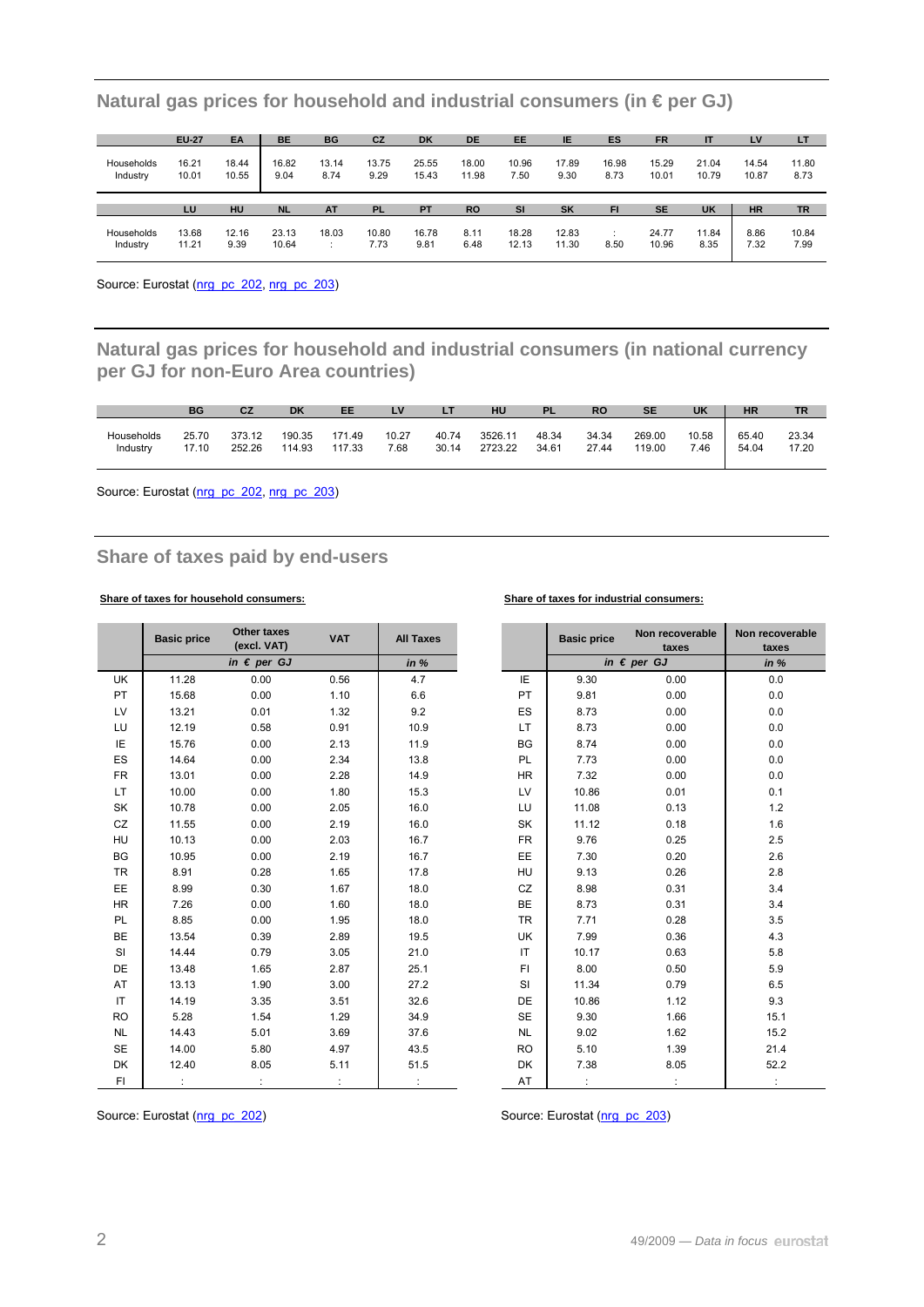|                        | <b>EU-27</b>   | EA             | <b>BE</b>     | <b>BG</b>     | CZ            | <b>DK</b>      | DE             | EE            | ΙE            | ES            | <b>FR</b>      | IT             | LV             | LT            |
|------------------------|----------------|----------------|---------------|---------------|---------------|----------------|----------------|---------------|---------------|---------------|----------------|----------------|----------------|---------------|
| Households<br>Industry | 16.21<br>10.01 | 18.44<br>10.55 | 16.82<br>9.04 | 13.14<br>8.74 | 13.75<br>9.29 | 25.55<br>15.43 | 18.00<br>11.98 | 10.96<br>7.50 | 17.89<br>9.30 | 16.98<br>8.73 | 15.29<br>10.01 | 21.04<br>10.79 | 14.54<br>10.87 | 11.80<br>8.73 |
|                        |                |                |               |               |               |                |                |               |               |               |                |                |                |               |
|                        | LU             | HU             | <b>NL</b>     | <b>AT</b>     | <b>PL</b>     | <b>PT</b>      | <b>RO</b>      | <b>SI</b>     | SK            | FI            | <b>SE</b>      | <b>UK</b>      | <b>HR</b>      | <b>TR</b>     |

**Natural gas prices for household and industrial consumers (in € per GJ)** 

Source: Eurostat ([nrg\\_pc\\_202](http://ec.europa.eu/eurostat/product?mode=view&code=nrg_pc_202), [nrg\\_pc\\_203\)](http://ec.europa.eu/eurostat/product?mode=view&code=nrg_pc_203)

**Natural gas prices for household and industrial consumers (in national currency per GJ for non-Euro Area countries)** 

|            | <b>BG</b> | CZ     | DK     | EE     | L٧    |       | HU      | <b>PL</b> | RO    | <b>SE</b> | <b>UK</b> | <b>HR</b> | <b>TR</b> |
|------------|-----------|--------|--------|--------|-------|-------|---------|-----------|-------|-----------|-----------|-----------|-----------|
| Households | 25.70     | 373.12 | 190.35 | 171.49 | 10.27 | 40.74 | 3526.11 | 48.34     | 34.34 | 269.00    | 10.58     | 65.40     | 23.34     |
| Industry   | 17.10     | 252.26 | 114.93 | 117.33 | 7.68  | 30.14 | 2723.22 | 34.61     | 27.44 | 119.00    | 7.46      | 54.04     | 17.20     |

Source: Eurostat [\(nrg\\_pc\\_202](http://ec.europa.eu/eurostat/product?mode=view&code=nrg_pc_202), [nrg\\_pc\\_203\)](http://ec.europa.eu/eurostat/product?mode=view&code=nrg_pc_203)

## **Share of taxes paid by end-users**

### **Share of taxes for household consumers: Share of taxes for industrial consumers:**

|           | <b>Basic price</b> | Other taxes<br>(excl. VAT) | <b>VAT</b> | <b>All Taxes</b> |           | <b>Basic price</b> | Non recoverable<br>taxes | Non recov<br>taxe: |
|-----------|--------------------|----------------------------|------------|------------------|-----------|--------------------|--------------------------|--------------------|
|           |                    | in $\epsilon$ per GJ       |            | in %             |           |                    | in $\epsilon$ per GJ     | in $%$             |
| <b>UK</b> | 11.28              | 0.00                       | 0.56       | 4.7              | IE        | 9.30               | 0.00                     | 0.0                |
| PT        | 15.68              | 0.00                       | 1.10       | 6.6              | PT        | 9.81               | 0.00                     | $0.0\,$            |
| LV        | 13.21              | 0.01                       | 1.32       | 9.2              | ES        | 8.73               | 0.00                     | $0.0\,$            |
| LU        | 12.19              | 0.58                       | 0.91       | 10.9             | LT        | 8.73               | 0.00                     | $0.0\,$            |
| IE        | 15.76              | 0.00                       | 2.13       | 11.9             | BG        | 8.74               | 0.00                     | $0.0\,$            |
| ES        | 14.64              | 0.00                       | 2.34       | 13.8             | PL        | 7.73               | 0.00                     | $0.0\,$            |
| <b>FR</b> | 13.01              | 0.00                       | 2.28       | 14.9             | <b>HR</b> | 7.32               | 0.00                     | $0.0\,$            |
| LT.       | 10.00              | 0.00                       | 1.80       | 15.3             | LV        | 10.86              | 0.01                     | 0.1                |
| SK        | 10.78              | 0.00                       | 2.05       | 16.0             | LU        | 11.08              | 0.13                     | $1.2$              |
| CZ        | 11.55              | 0.00                       | 2.19       | 16.0             | SK        | 11.12              | 0.18                     | $1.6\,$            |
| <b>HU</b> | 10.13              | 0.00                       | 2.03       | 16.7             | <b>FR</b> | 9.76               | 0.25                     | $2.5\,$            |
| BG        | 10.95              | 0.00                       | 2.19       | 16.7             | EE        | 7.30               | 0.20                     | $2.6\,$            |
| <b>TR</b> | 8.91               | 0.28                       | 1.65       | 17.8             | HU        | 9.13               | 0.26                     | $2.8\,$            |
| EE        | 8.99               | 0.30                       | 1.67       | 18.0             | CZ        | 8.98               | 0.31                     | 3.4                |
| <b>HR</b> | 7.26               | 0.00                       | 1.60       | 18.0             | BE        | 8.73               | 0.31                     | 3.4                |
| PL        | 8.85               | 0.00                       | 1.95       | 18.0             | <b>TR</b> | 7.71               | 0.28                     | 3.5                |
| BE        | 13.54              | 0.39                       | 2.89       | 19.5             | UK        | 7.99               | 0.36                     | 4.3                |
| SI        | 14.44              | 0.79                       | 3.05       | 21.0             | IT.       | 10.17              | 0.63                     | 5.8                |
| DE        | 13.48              | 1.65                       | 2.87       | 25.1             | FI.       | 8.00               | 0.50                     | $5.9\,$            |
| AT        | 13.13              | 1.90                       | 3.00       | 27.2             | SI        | 11.34              | 0.79                     | 6.5                |
| IT        | 14.19              | 3.35                       | 3.51       | 32.6             | DE        | 10.86              | 1.12                     | 9.3                |
| <b>RO</b> | 5.28               | 1.54                       | 1.29       | 34.9             | <b>SE</b> | 9.30               | 1.66                     | 15.1               |
| <b>NL</b> | 14.43              | 5.01                       | 3.69       | 37.6             | <b>NL</b> | 9.02               | 1.62                     | 15.2               |
| <b>SE</b> | 14.00              | 5.80                       | 4.97       | 43.5             | <b>RO</b> | 5.10               | 1.39                     | 21.4               |
| DK        | 12.40              | 8.05                       | 5.11       | 51.5             | DK        | 7.38               | 8.05                     | 52.2               |
| FI.       |                    |                            |            |                  | AT        |                    |                          |                    |

|           | <b>Basic price</b> | <b>Other taxes</b><br>(excl. VAT) | <b>VAT</b> | <b>All Taxes</b> |           | <b>Basic price</b> | Non recoverable<br>taxes | Non recoverable<br>taxes |
|-----------|--------------------|-----------------------------------|------------|------------------|-----------|--------------------|--------------------------|--------------------------|
|           |                    | in $\epsilon$ per GJ              |            | in %             |           |                    | in $\epsilon$ per GJ     | in %                     |
| JK        | 11.28              | 0.00                              | 0.56       | 4.7              | IE        | 9.30               | 0.00                     | 0.0                      |
| PТ        | 15.68              | 0.00                              | 1.10       | 6.6              | PT        | 9.81               | 0.00                     | 0.0                      |
| LV        | 13.21              | 0.01                              | 1.32       | 9.2              | ES        | 8.73               | 0.00                     | 0.0                      |
| LU        | 12.19              | 0.58                              | 0.91       | 10.9             | LT.       | 8.73               | 0.00                     | 0.0                      |
| ΙE        | 15.76              | 0.00                              | 2.13       | 11.9             | <b>BG</b> | 8.74               | 0.00                     | 0.0                      |
| $\bar{S}$ | 14.64              | 0.00                              | 2.34       | 13.8             | PL        | 7.73               | 0.00                     | 0.0                      |
| FR.       | 13.01              | 0.00                              | 2.28       | 14.9             | <b>HR</b> | 7.32               | 0.00                     | 0.0                      |
| LT        | 10.00              | 0.00                              | 1.80       | 15.3             | LV        | 10.86              | 0.01                     | 0.1                      |
| SК        | 10.78              | 0.00                              | 2.05       | 16.0             | LU        | 11.08              | 0.13                     | 1.2                      |
| CΖ        | 11.55              | 0.00                              | 2.19       | 16.0             | SK        | 11.12              | 0.18                     | 1.6                      |
| ٦U        | 10.13              | 0.00                              | 2.03       | 16.7             | <b>FR</b> | 9.76               | 0.25                     | 2.5                      |
| 3G        | 10.95              | 0.00                              | 2.19       | 16.7             | EE        | 7.30               | 0.20                     | 2.6                      |
| ΓR        | 8.91               | 0.28                              | 1.65       | 17.8             | HU        | 9.13               | 0.26                     | 2.8                      |
| ΞE        | 8.99               | 0.30                              | 1.67       | 18.0             | CZ        | 8.98               | 0.31                     | 3.4                      |
| HR.       | 7.26               | 0.00                              | 1.60       | 18.0             | BE        | 8.73               | 0.31                     | 3.4                      |
| PL        | 8.85               | 0.00                              | 1.95       | 18.0             | <b>TR</b> | 7.71               | 0.28                     | 3.5                      |
| ЗE        | 13.54              | 0.39                              | 2.89       | 19.5             | <b>UK</b> | 7.99               | 0.36                     | 4.3                      |
| SI        | 14.44              | 0.79                              | 3.05       | 21.0             | IT        | 10.17              | 0.63                     | 5.8                      |
| ЭE        | 13.48              | 1.65                              | 2.87       | 25.1             | FL.       | 8.00               | 0.50                     | 5.9                      |
| АT        | 13.13              | 1.90                              | 3.00       | 27.2             | <b>SI</b> | 11.34              | 0.79                     | 6.5                      |
| ΙT        | 14.19              | 3.35                              | 3.51       | 32.6             | <b>DE</b> | 10.86              | 1.12                     | 9.3                      |
| 50        | 5.28               | 1.54                              | 1.29       | 34.9             | <b>SE</b> | 9.30               | 1.66                     | 15.1                     |
| NL        | 14.43              | 5.01                              | 3.69       | 37.6             | <b>NL</b> | 9.02               | 1.62                     | 15.2                     |
| SЕ        | 14.00              | 5.80                              | 4.97       | 43.5             | <b>RO</b> | 5.10               | 1.39                     | 21.4                     |
| ЭK        | 12.40              | 8.05                              | 5.11       | 51.5             | <b>DK</b> | 7.38               | 8.05                     | 52.2                     |
| FI        |                    |                                   |            |                  | AT        | ÷                  |                          | ÷                        |

Source: Eurostat [\(nrg\\_pc\\_202](http://ec.europa.eu/eurostat/product?mode=view&code=nrg_pc_202)) Source: Eurostat [\(nrg\\_pc\\_203\)](http://ec.europa.eu/eurostat/product?mode=view&code=nrg_pc_203)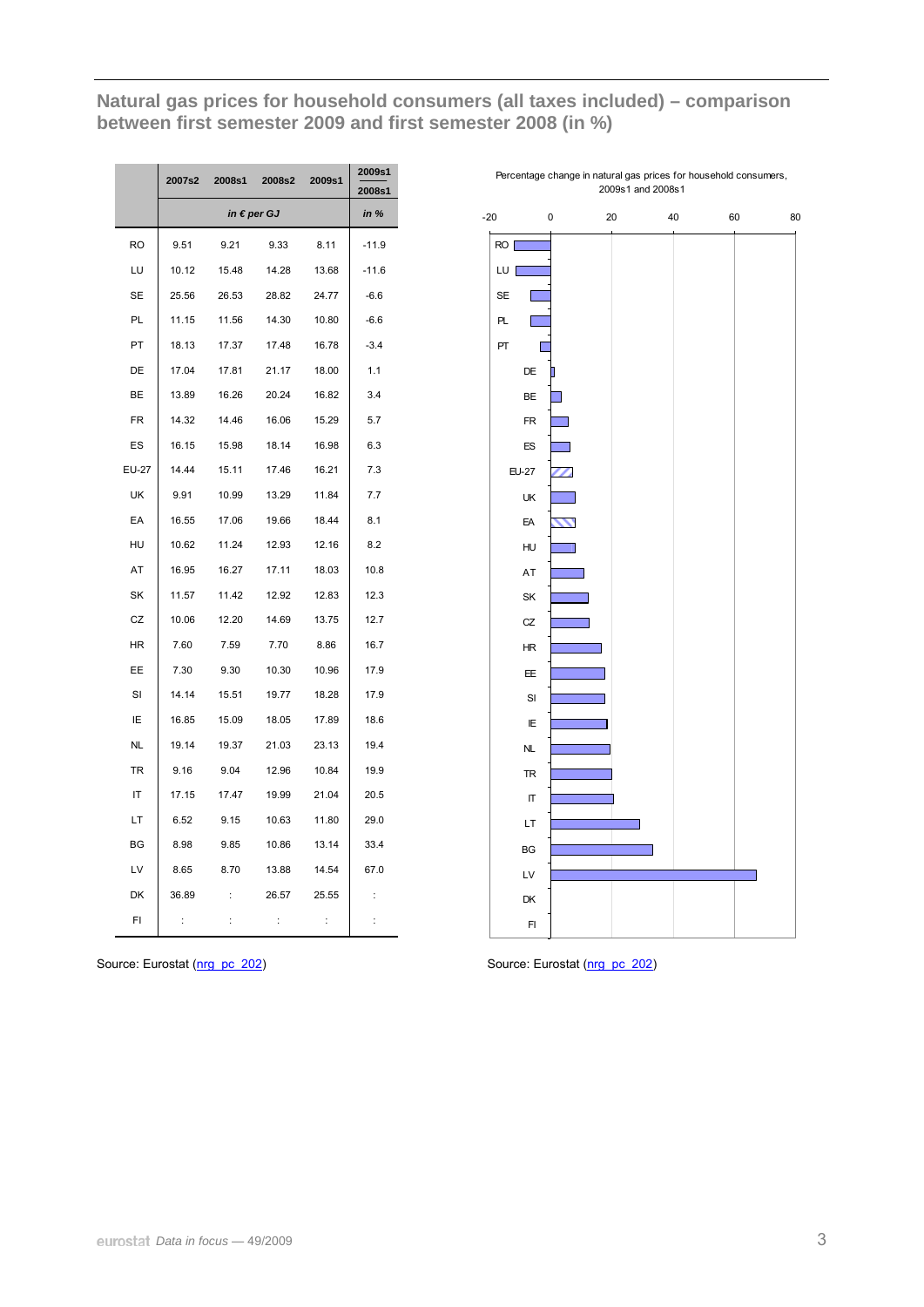Natural gas prices for household consumers (all taxes included) - comparison between first semester 2009 and first semester 2008 (in %)

|              | 2007s2   | 2008s1   | 2008s2               | 2009s1   | 2009s1<br>2008s1 |
|--------------|----------|----------|----------------------|----------|------------------|
|              |          |          | in $\epsilon$ per GJ |          | in %             |
| <b>RO</b>    | 9.51     | 9.21     | 9.33                 | 8.11     | $-11.9$          |
| LU           | 10.12    | 15.48    | 14.28                | 13.68    | $-11.6$          |
| <b>SE</b>    | 25.56    | 26.53    | 28.82                | 24.77    | $-6.6$           |
| PL           | 11.15    | 11.56    | 14.30                | 10.80    | $-6.6$           |
| PT           | 18.13    | 17.37    | 17.48                | 16.78    | $-3.4$           |
| DE           | 17.04    | 17.81    | 21.17                | 18.00    | 1.1              |
| BE           | 13.89    | 16.26    | 20.24                | 16.82    | 3.4              |
| <b>FR</b>    | 14.32    | 14.46    | 16.06                | 15.29    | 5.7              |
| ES           | 16.15    | 15.98    | 18.14                | 16.98    | 6.3              |
| <b>EU-27</b> | 14.44    | 15.11    | 17.46                | 16.21    | 7.3              |
| UK           | 9.91     | 10.99    | 13.29                | 11.84    | 7.7              |
| EA           | 16.55    | 17.06    | 19.66                | 18.44    | 8.1              |
| HU           | 10.62    | 11.24    | 12.93                | 12.16    | 8.2              |
| AT           | 16.95    | 16.27    | 17.11                | 18.03    | 10.8             |
| SK           | 11.57    | 11.42    | 12.92                | 12.83    | 12.3             |
| CZ           | 10.06    | 12.20    | 14.69                | 13.75    | 12.7             |
| HR           | 7.60     | 7.59     | 7.70                 | 8.86     | 16.7             |
| EE           | 7.30     | 9.30     | 10.30                | 10.96    | 17.9             |
| SI           | 14.14    | 15.51    | 19.77                | 18.28    | 17.9             |
| ΙE           | 16.85    | 15.09    | 18.05                | 17.89    | 18.6             |
| <b>NL</b>    | 19.14    | 19.37    | 21.03                | 23.13    | 19.4             |
| <b>TR</b>    | 9.16     | 9.04     | 12.96                | 10.84    | 19.9             |
| IT           | 17.15    | 17.47    | 19.99                | 21.04    | 20.5             |
| LT           | 6.52     | 9.15     | 10.63                | 11.80    | 29.0             |
| BG           | 8.98     | 9.85     | 10.86                | 13.14    | 33.4             |
| LV           | 8.65     | 8.70     | 13.88                | 14.54    | 67.0             |
| DK           | 36.89    | $\vdots$ | 26.57                | 25.55    | $\vdots$         |
| FI           | $\vdots$ | $\vdots$ | $\vdots$             | $\vdots$ | $\vdots$         |

Percentage change in natural gas prices for household consumers, 2009s1 and 2008s1



Source: Eurostat (nrg pc 202)

Source: Eurostat (nrg pc 202)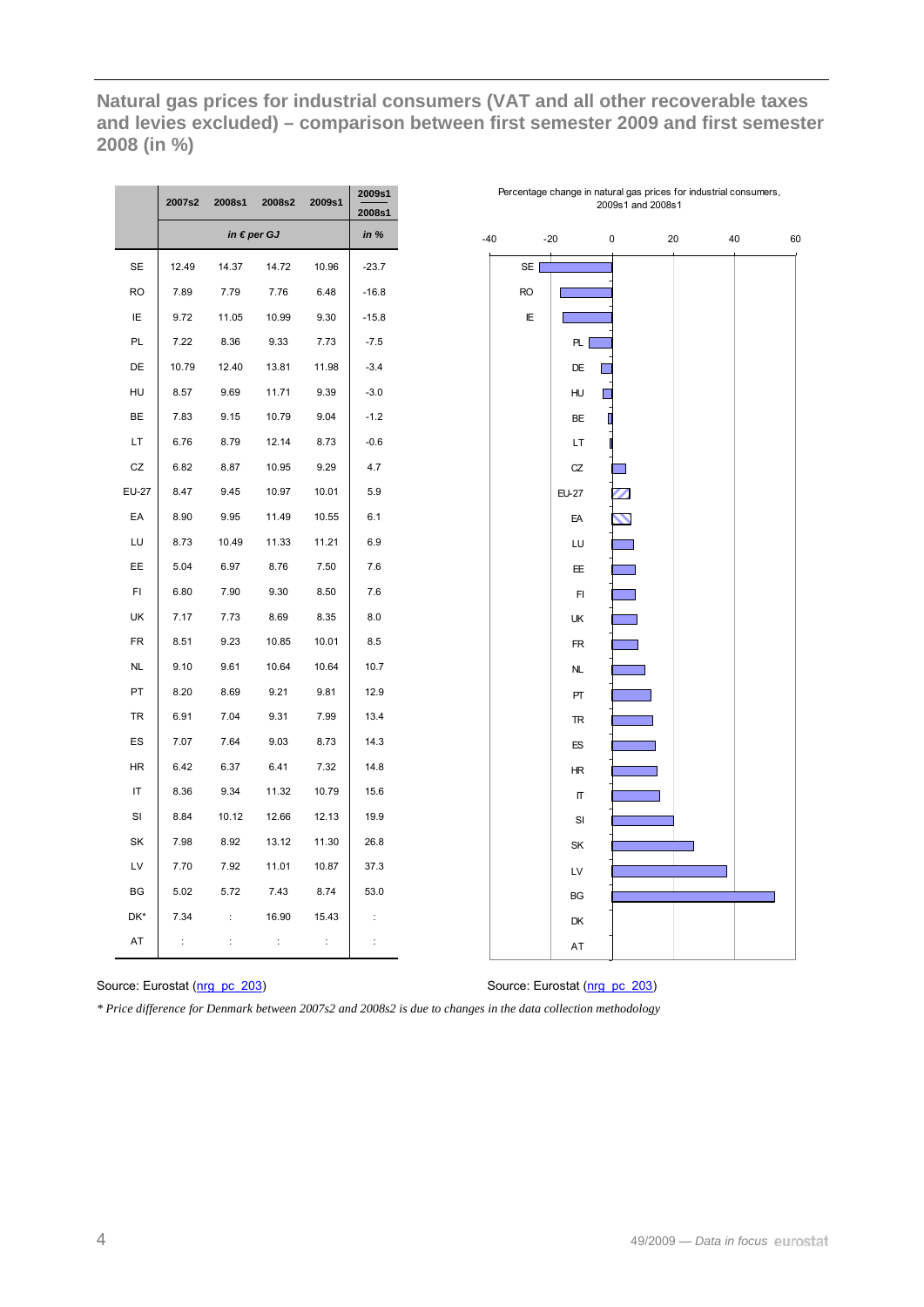Natural gas prices for industrial consumers (VAT and all other recoverable taxes and levies excluded) – comparison between first semester 2009 and first semester 2008 (in %)

|              | 2007s2   | 2008s1   | 2008s2               | 2009s1   | 2009s1<br>2008s1 |
|--------------|----------|----------|----------------------|----------|------------------|
|              |          |          | in $\epsilon$ per GJ |          | in %             |
| <b>SE</b>    | 12.49    | 14.37    | 14.72                | 10.96    | $-23.7$          |
| <b>RO</b>    | 7.89     | 7.79     | 7.76                 | 6.48     | $-16.8$          |
| IE           | 9.72     | 11.05    | 10.99                | 9.30     | $-15.8$          |
| PL           | 7.22     | 8.36     | 9.33                 | 7.73     | $-7.5$           |
| DE           | 10.79    | 12.40    | 13.81                | 11.98    | $-3.4$           |
| HU           | 8.57     | 9.69     | 11.71                | 9.39     | $-3.0$           |
| BE           | 7.83     | 9.15     | 10.79                | 9.04     | $-1.2$           |
| LT           | 6.76     | 8.79     | 12.14                | 8.73     | $-0.6$           |
| CZ           | 6.82     | 8.87     | 10.95                | 9.29     | 4.7              |
| <b>EU-27</b> | 8.47     | 9.45     | 10.97                | 10.01    | 5.9              |
| EA           | 8.90     | 9.95     | 11.49                | 10.55    | 6.1              |
| LU           | 8.73     | 10.49    | 11.33                | 11.21    | 6.9              |
| EE           | 5.04     | 6.97     | 8.76                 | 7.50     | 7.6              |
| FI           | 6.80     | 7.90     | 9.30                 | 8.50     | 7.6              |
| UK           | 7.17     | 7.73     | 8.69                 | 8.35     | 8.0              |
| <b>FR</b>    | 8.51     | 9.23     | 10.85                | 10.01    | 8.5              |
| <b>NL</b>    | 9.10     | 9.61     | 10.64                | 10.64    | 10.7             |
| PT           | 8.20     | 8.69     | 9.21                 | 9.81     | 12.9             |
| TR           | 6.91     | 7.04     | 9.31                 | 7.99     | 13.4             |
| ES           | 7.07     | 7.64     | 9.03                 | 8.73     | 14.3             |
| ΗR           | 6.42     | 6.37     | 6.41                 | 7.32     | 14.8             |
| IT           | 8.36     | 9.34     | 11.32                | 10.79    | 15.6             |
| SI           | 8.84     | 10.12    | 12.66                | 12.13    | 19.9             |
| SK           | 7.98     | 8.92     | 13.12                | 11.30    | 26.8             |
| LV           | 7.70     | 7.92     | 11.01                | 10.87    | 37.3             |
| BG           | 5.02     | 5.72     | 7.43                 | 8.74     | 53.0             |
| DK*          | 7.34     | $\vdots$ | 16.90                | 15.43    | t                |
| AT           | $\vdots$ | t        | t                    | $\vdots$ | $\vdots$         |



Percentage change in natural gas prices for industrial consumers, 2009s1 and 2008s1

Source: Eurostat (nrg pc 203)

Source: Eurostat (nrg pc 203)

\* Price difference for Denmark between 2007s2 and 2008s2 is due to changes in the data collection methodology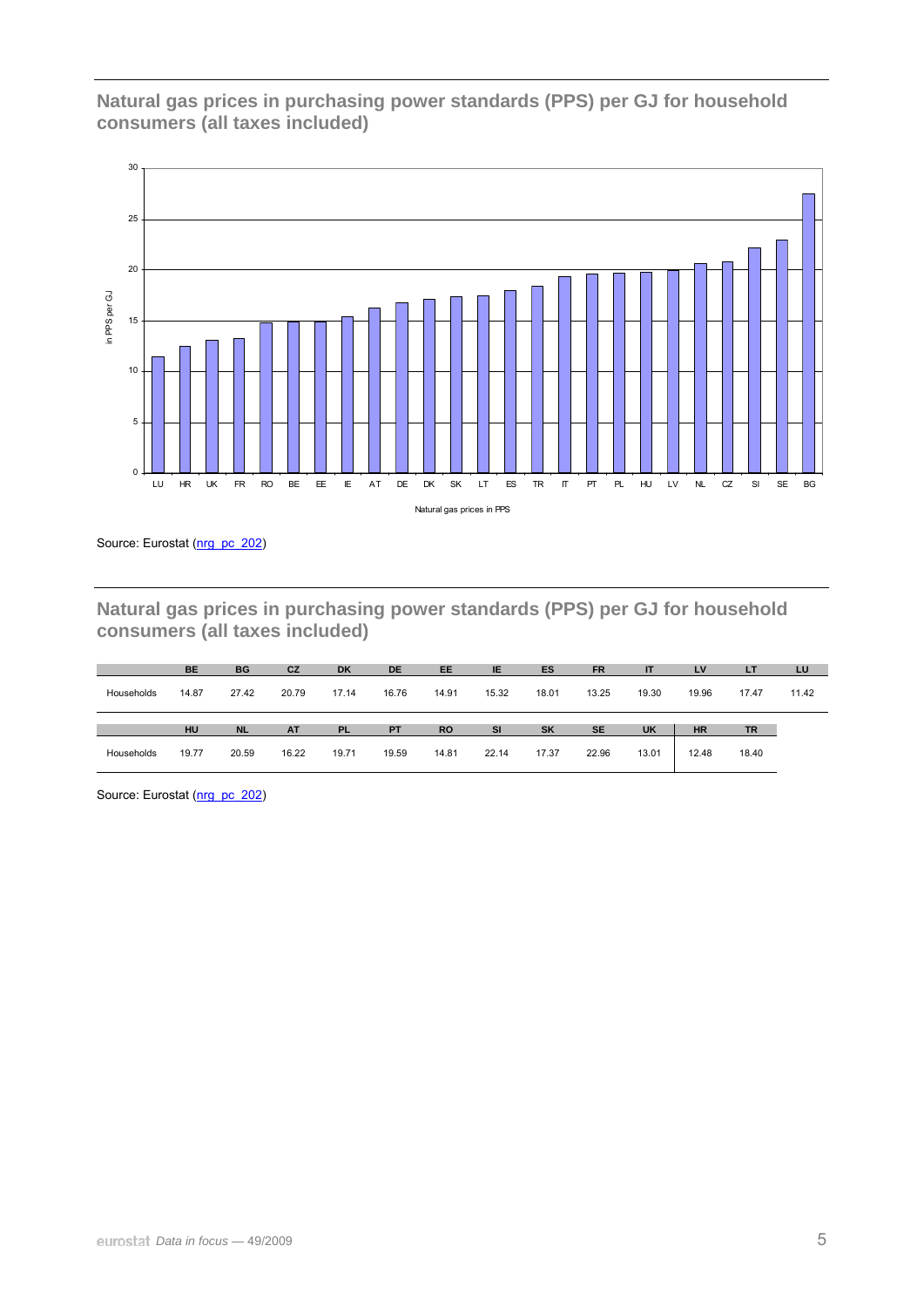## **Natural gas prices in purchasing power standards (PPS) per GJ for household consumers (all taxes included)**



Source: Eurostat [\(nrg\\_pc\\_202](http://ec.europa.eu/eurostat/product?mode=view&code=nrg_pc_202))

**Natural gas prices in purchasing power standards (PPS) per GJ for household consumers (all taxes included)** 

|            | <b>BE</b> | <b>BG</b> | CZ        | <b>DK</b> | <b>DE</b> | EE        | IE        | ES        | <b>FR</b> | ΙT        | LV        | ш         | LU    |
|------------|-----------|-----------|-----------|-----------|-----------|-----------|-----------|-----------|-----------|-----------|-----------|-----------|-------|
| Households | 14.87     | 27.42     | 20.79     | 17.14     | 16.76     | 14.91     | 15.32     | 18.01     | 13.25     | 19.30     | 19.96     | 17.47     | 11.42 |
|            |           |           |           |           |           |           |           |           |           |           |           |           |       |
|            | HU        | <b>NL</b> | <b>AT</b> | <b>PL</b> | PT        | <b>RO</b> | <b>SI</b> | <b>SK</b> | <b>SE</b> | <b>UK</b> | <b>HR</b> | <b>TR</b> |       |

Source: Eurostat ([nrg\\_pc\\_202](http://ec.europa.eu/eurostat/product?mode=view&code=nrg_pc_202))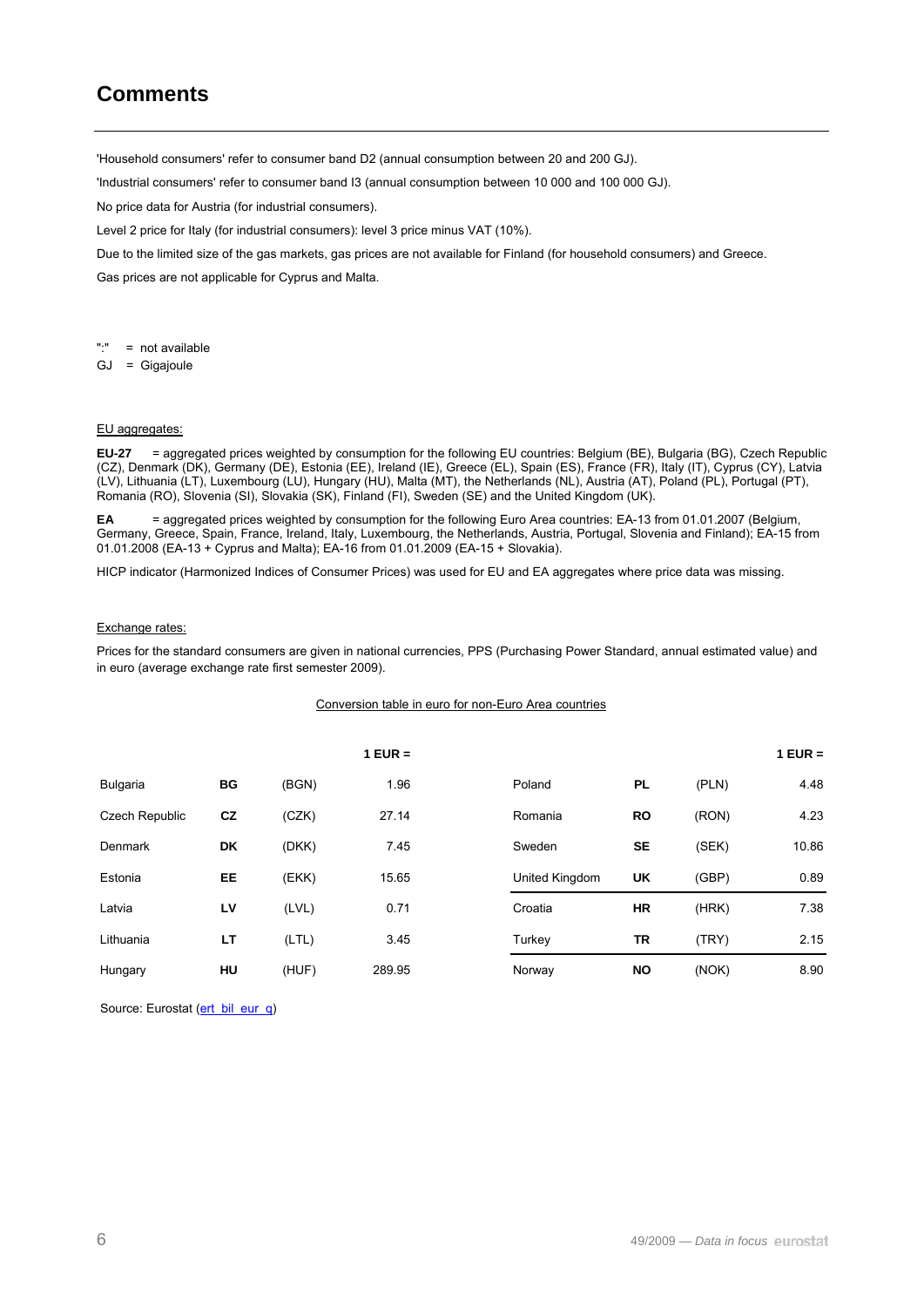## **Comments**

'Household consumers' refer to consumer band D2 (annual consumption between 20 and 200 GJ).

'Industrial consumers' refer to consumer band I3 (annual consumption between 10 000 and 100 000 GJ).

No price data for Austria (for industrial consumers).

Level 2 price for Italy (for industrial consumers): level 3 price minus VAT (10%).

Due to the limited size of the gas markets, gas prices are not available for Finland (for household consumers) and Greece.

Gas prices are not applicable for Cyprus and Malta.

- ":" = not available
- GJ = Gigajoule

#### EU aggregates:

**EU-27** = aggregated prices weighted by consumption for the following EU countries: Belgium (BE), Bulgaria (BG), Czech Republic (CZ), Denmark (DK), Germany (DE), Estonia (EE), Ireland (IE), Greece (EL), Spain (ES), France (FR), Italy (IT), Cyprus (CY), Latvia (LV), Lithuania (LT), Luxembourg (LU), Hungary (HU), Malta (MT), the Netherlands (NL), Austria (AT), Poland (PL), Portugal (PT), Romania (RO), Slovenia (SI), Slovakia (SK), Finland (FI), Sweden (SE) and the United Kingdom (UK).

**EA** = aggregated prices weighted by consumption for the following Euro Area countries: EA-13 from 01.01.2007 (Belgium, Germany, Greece, Spain, France, Ireland, Italy, Luxembourg, the Netherlands, Austria, Portugal, Slovenia and Finland); EA-15 from 01.01.2008 (EA-13 + Cyprus and Malta); EA-16 from 01.01.2009 (EA-15 + Slovakia).

HICP indicator (Harmonized Indices of Consumer Prices) was used for EU and EA aggregates where price data was missing.

#### Exchange rates:

Prices for the standard consumers are given in national currencies, PPS (Purchasing Power Standard, annual estimated value) and in euro (average exchange rate first semester 2009).

#### Conversion table in euro for non-Euro Area countries

|                       |    |       | $1$ EUR = |                |           |       | $1$ EUR = |
|-----------------------|----|-------|-----------|----------------|-----------|-------|-----------|
| <b>Bulgaria</b>       | BG | (BGN) | 1.96      | Poland         | <b>PL</b> | (PLN) | 4.48      |
| <b>Czech Republic</b> | cz | (CZK) | 27.14     | Romania        | <b>RO</b> | (RON) | 4.23      |
| <b>Denmark</b>        | DK | (DKK) | 7.45      | Sweden         | <b>SE</b> | (SEK) | 10.86     |
| Estonia               | EE | (EKK) | 15.65     | United Kingdom | UK        | (GBP) | 0.89      |
| Latvia                | LV | (LVL) | 0.71      | Croatia        | <b>HR</b> | (HRK) | 7.38      |
| Lithuania             | LT | (LTL) | 3.45      | Turkey         | TR        | (TRY) | 2.15      |
| Hungary               | HU | (HUF) | 289.95    | Norway         | <b>NO</b> | (NOK) | 8.90      |

Source: Eurostat ([ert\\_bil\\_eur\\_q\)](http://ec.europa.eu/eurostat/product?mode=view&code=ert_bil_eur_q)